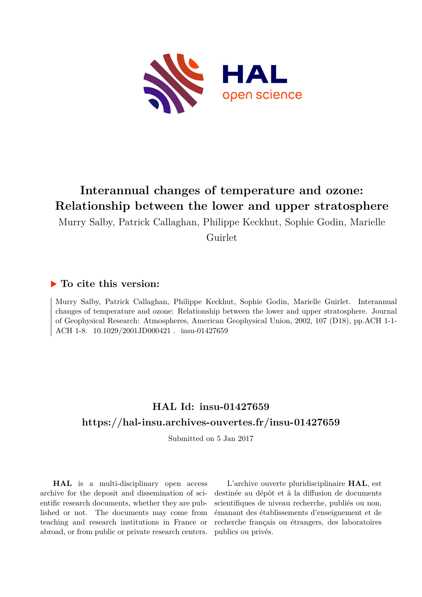

# **Interannual changes of temperature and ozone: Relationship between the lower and upper stratosphere**

Murry Salby, Patrick Callaghan, Philippe Keckhut, Sophie Godin, Marielle Guirlet

## **To cite this version:**

Murry Salby, Patrick Callaghan, Philippe Keckhut, Sophie Godin, Marielle Guirlet. Interannual changes of temperature and ozone: Relationship between the lower and upper stratosphere. Journal of Geophysical Research: Atmospheres, American Geophysical Union, 2002, 107 (D18), pp.ACH 1-1- ACH 1-8. 10.1029/2001JD000421. insu-01427659

## **HAL Id: insu-01427659 <https://hal-insu.archives-ouvertes.fr/insu-01427659>**

Submitted on 5 Jan 2017

**HAL** is a multi-disciplinary open access archive for the deposit and dissemination of scientific research documents, whether they are published or not. The documents may come from teaching and research institutions in France or abroad, or from public or private research centers.

L'archive ouverte pluridisciplinaire **HAL**, est destinée au dépôt et à la diffusion de documents scientifiques de niveau recherche, publiés ou non, émanant des établissements d'enseignement et de recherche français ou étrangers, des laboratoires publics ou privés.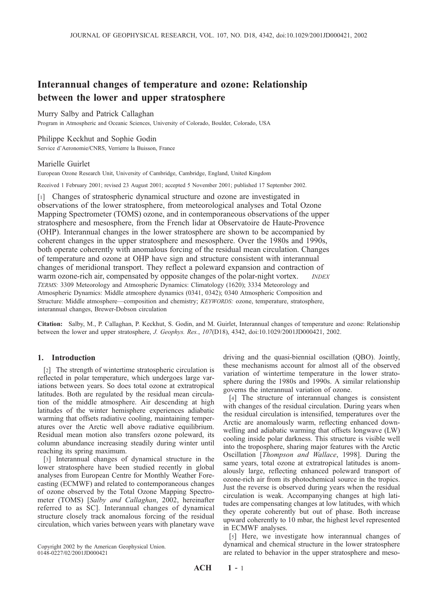## Interannual changes of temperature and ozone: Relationship between the lower and upper stratosphere

#### Murry Salby and Patrick Callaghan

Program in Atmospheric and Oceanic Sciences, University of Colorado, Boulder, Colorado, USA

#### Philippe Keckhut and Sophie Godin

Service d'Aeronomie/CNRS, Verrierre la Buisson, France

#### Marielle Guirlet

European Ozone Research Unit, University of Cambridge, Cambridge, England, United Kingdom

Received 1 February 2001; revised 23 August 2001; accepted 5 November 2001; published 17 September 2002.

[1] Changes of stratospheric dynamical structure and ozone are investigated in observations of the lower stratosphere, from meteorological analyses and Total Ozone Mapping Spectrometer (TOMS) ozone, and in contemporaneous observations of the upper stratosphere and mesosphere, from the French lidar at Observatoire de Haute-Provence (OHP). Interannual changes in the lower stratosphere are shown to be accompanied by coherent changes in the upper stratosphere and mesosphere. Over the 1980s and 1990s, both operate coherently with anomalous forcing of the residual mean circulation. Changes of temperature and ozone at OHP have sign and structure consistent with interannual changes of meridional transport. They reflect a poleward expansion and contraction of warm ozone-rich air, compensated by opposite changes of the polar-night vortex. TERMS: 3309 Meteorology and Atmospheric Dynamics: Climatology (1620); 3334 Meteorology and Atmospheric Dynamics: Middle atmosphere dynamics (0341, 0342); 0340 Atmospheric Composition and Structure: Middle atmosphere—composition and chemistry; KEYWORDS: ozone, temperature, stratosphere, interannual changes, Brewer-Dobson circulation

Citation: Salby, M., P. Callaghan, P. Keckhut, S. Godin, and M. Guirlet, Interannual changes of temperature and ozone: Relationship between the lower and upper stratosphere, J. Geophys. Res., 107(D18), 4342, doi:10.1029/2001JD000421, 2002.

#### 1. Introduction

[2] The strength of wintertime stratospheric circulation is reflected in polar temperature, which undergoes large variations between years. So does total ozone at extratropical latitudes. Both are regulated by the residual mean circulation of the middle atmosphere. Air descending at high latitudes of the winter hemisphere experiences adiabatic warming that offsets radiative cooling, maintaining temperatures over the Arctic well above radiative equilibrium. Residual mean motion also transfers ozone poleward, its column abundance increasing steadily during winter until reaching its spring maximum.

[3] Interannual changes of dynamical structure in the lower stratosphere have been studied recently in global analyses from European Centre for Monthly Weather Forecasting (ECMWF) and related to contemporaneous changes of ozone observed by the Total Ozone Mapping Spectrometer (TOMS) [Salby and Callaghan, 2002, hereinafter referred to as SC]. Interannual changes of dynamical structure closely track anomalous forcing of the residual circulation, which varies between years with planetary wave

Copyright 2002 by the American Geophysical Union. 0148-0227/02/2001JD000421

driving and the quasi-biennial oscillation (QBO). Jointly, these mechanisms account for almost all of the observed variation of wintertime temperature in the lower stratosphere during the 1980s and 1990s. A similar relationship governs the interannual variation of ozone.

[4] The structure of interannual changes is consistent with changes of the residual circulation. During years when the residual circulation is intensified, temperatures over the Arctic are anomalously warm, reflecting enhanced downwelling and adiabatic warming that offsets longwave (LW) cooling inside polar darkness. This structure is visible well into the troposphere, sharing major features with the Arctic Oscillation [Thompson and Wallace, 1998]. During the same years, total ozone at extratropical latitudes is anomalously large, reflecting enhanced poleward transport of ozone-rich air from its photochemical source in the tropics. Just the reverse is observed during years when the residual circulation is weak. Accompanying changes at high latitudes are compensating changes at low latitudes, with which they operate coherently but out of phase. Both increase upward coherently to 10 mbar, the highest level represented in ECMWF analyses.

[5] Here, we investigate how interannual changes of dynamical and chemical structure in the lower stratosphere are related to behavior in the upper stratosphere and meso-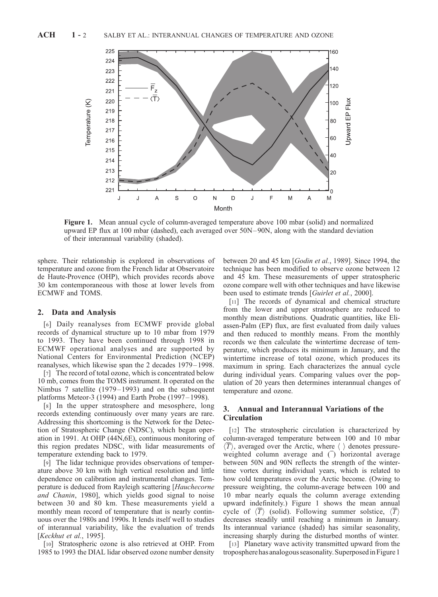

Figure 1. Mean annual cycle of column-averaged temperature above 100 mbar (solid) and normalized upward EP flux at 100 mbar (dashed), each averaged over 50N – 90N, along with the standard deviation of their interannual variability (shaded).

sphere. Their relationship is explored in observations of temperature and ozone from the French lidar at Observatoire de Haute-Provence (OHP), which provides records above 30 km contemporaneous with those at lower levels from ECMWF and TOMS.

#### 2. Data and Analysis

[6] Daily reanalyses from ECMWF provide global records of dynamical structure up to 10 mbar from 1979 to 1993. They have been continued through 1998 in ECMWF operational analyses and are supported by National Centers for Environmental Prediction (NCEP) reanalyses, which likewise span the 2 decades 1979 – 1998.

[7] The record of total ozone, which is concentrated below 10 mb, comes from the TOMS instrument. It operated on the Nimbus 7 satellite (1979– 1993) and on the subsequent platforms Meteor-3 (1994) and Earth Probe (1997 – 1998).

[8] In the upper stratosphere and mesosphere, long records extending continuously over many years are rare. Addressing this shortcoming is the Network for the Detection of Stratospheric Change (NDSC), which began operation in 1991. At OHP (44N,6E), continuous monitoring of this region predates NDSC, with lidar measurements of temperature extending back to 1979.

[9] The lidar technique provides observations of temperature above 30 km with high vertical resolution and little dependence on calibration and instrumental changes. Temperature is deduced from Rayleigh scattering [Hauchecorne and Chanin, 1980], which yields good signal to noise between 30 and 80 km. These measurements yield a monthly mean record of temperature that is nearly continuous over the 1980s and 1990s. It lends itself well to studies of interannual variability, like the evaluation of trends [Keckhut et al., 1995].

[10] Stratospheric ozone is also retrieved at OHP. From 1985 to 1993 the DIAL lidar observed ozone number density between 20 and 45 km [Godin et al., 1989]. Since 1994, the technique has been modified to observe ozone between 12 and 45 km. These measurements of upper stratospheric ozone compare well with other techniques and have likewise been used to estimate trends [*Guirlet et al.*, 2000].

[11] The records of dynamical and chemical structure from the lower and upper stratosphere are reduced to monthly mean distributions. Quadratic quantities, like Eliassen-Palm (EP) flux, are first evaluated from daily values and then reduced to monthly means. From the monthly records we then calculate the wintertime decrease of temperature, which produces its minimum in January, and the wintertime increase of total ozone, which produces its maximum in spring. Each characterizes the annual cycle during individual years. Comparing values over the population of 20 years then determines interannual changes of temperature and ozone.

#### 3. Annual and Interannual Variations of the **Circulation**

[12] The stratospheric circulation is characterized by column-averaged temperature between 100 and 10 mbar  $\langle \overline{T} \rangle$ , averaged over the Arctic, where  $\langle \rangle$  denotes pressureweighted column average and  $\overline{()}$  horizontal average between 50N and 90N reflects the strength of the wintertime vortex during individual years, which is related to how cold temperatures over the Arctic become. (Owing to pressure weighting, the column-average between 100 and 10 mbar nearly equals the column average extending upward indefinitely.) Figure 1 shows the mean annual cycle of  $\langle \overline{T} \rangle$  (solid). Following summer solstice,  $\langle \overline{T} \rangle$ decreases steadily until reaching a minimum in January. Its interannual variance (shaded) has similar seasonality, increasing sharply during the disturbed months of winter.

[13] Planetary wave activity transmitted upward from the troposphere has analogous seasonality. Superposedin Figure 1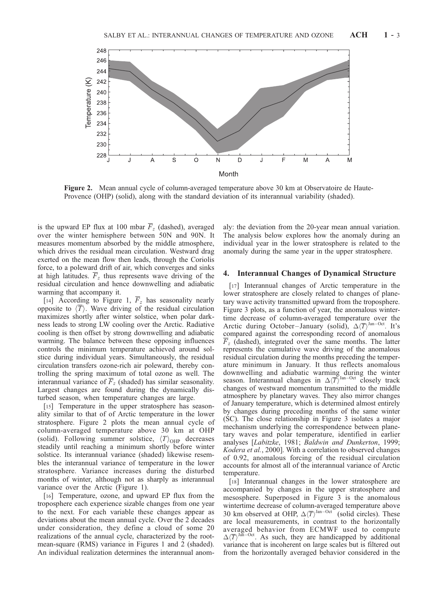

Figure 2. Mean annual cycle of column-averaged temperature above 30 km at Observatoire de Haute-Provence (OHP) (solid), along with the standard deviation of its interannual variability (shaded).

is the upward EP flux at 100 mbar  $\overline{F}_z$  (dashed), averaged over the winter hemisphere between 50N and 90N. It measures momentum absorbed by the middle atmosphere, which drives the residual mean circulation. Westward drag exerted on the mean flow then leads, through the Coriolis force, to a poleward drift of air, which converges and sinks at high latitudes.  $\overline{F}_z$  thus represents wave driving of the residual circulation and hence downwelling and adiabatic warming that accompany it.

[14] According to Figure 1,  $\overline{F}_z$  has seasonality nearly opposite to  $\langle \overline{T} \rangle$ . Wave driving of the residual circulation maximizes shortly after winter solstice, when polar darkness leads to strong LW cooling over the Arctic. Radiative cooling is then offset by strong downwelling and adiabatic warming. The balance between these opposing influences controls the minimum temperature achieved around solstice during individual years. Simultaneously, the residual circulation transfers ozone-rich air poleward, thereby controlling the spring maximum of total ozone as well. The interannual variance of  $\overline{F}_z$  (shaded) has similar seasonality. Largest changes are found during the dynamically disturbed season, when temperature changes are large.

[15] Temperature in the upper stratosphere has seasonality similar to that of of Arctic temperature in the lower stratosphere. Figure 2 plots the mean annual cycle of column-averaged temperature above 30 km at OHP (solid). Following summer solstice,  $\langle T \rangle_{\text{OHP}}$  decreases steadily until reaching a minimum shortly before winter solstice. Its interannual variance (shaded) likewise resembles the interannual variance of temperature in the lower stratosphere. Variance increases during the disturbed months of winter, although not as sharply as interannual variance over the Arctic (Figure 1).

[16] Temperature, ozone, and upward EP flux from the troposphere each experience sizable changes from one year to the next. For each variable these changes appear as deviations about the mean annual cycle. Over the 2 decades under consideration, they define a cloud of some 20 realizations of the annual cycle, characterized by the rootmean-square (RMS) variance in Figures 1 and 2 (shaded). An individual realization determines the interannual anomaly: the deviation from the 20-year mean annual variation. The analysis below explores how the anomaly during an individual year in the lower stratosphere is related to the anomaly during the same year in the upper stratosphere.

#### 4. Interannual Changes of Dynamical Structure

[17] Interannual changes of Arctic temperature in the lower stratosphere are closely related to changes of planetary wave activity transmitted upward from the troposphere. Figure 3 plots, as a function of year, the anomalous wintertime decrease of column-averaged temperature over the Arctic during October-January (solid),  $\Delta \langle \overline{T} \rangle^{\text{Jan-Oct}}$ . It's compared against the corresponding record of anomalous  $\overline{F}_z$  (dashed), integrated over the same months. The latter represents the cumulative wave driving of the anomalous residual circulation during the months preceding the temperature minimum in January. It thus reflects anomalous downwelling and adiabatic warming during the winter season. Interannual changes in  $\Delta \langle \overline{T} \rangle^{\text{Jan-Oct}}$  closely track changes of westward momentum transmitted to the middle atmosphere by planetary waves. They also mirror changes of January temperature, which is determined almost entirely by changes during preceding months of the same winter (SC). The close relationship in Figure 3 isolates a major mechanism underlying the correspondence between planetary waves and polar temperature, identified in earlier analyses [Labitzke, 1981; Baldwin and Dunkerton, 1999; Kodera et al., 2000]. With a correlation to observed changes of 0.92, anomalous forcing of the residual circulation accounts for almost all of the interannual variance of Arctic temperature.

[18] Interannual changes in the lower stratosphere are accompanied by changes in the upper stratosphere and mesosphere. Superposed in Figure 3 is the anomalous wintertime decrease of column-averaged temperature above 30 km observed at OHP,  $\Delta \langle \overline{T} \rangle^{\text{Jan-Oct}}$  (solid circles). These are local measurements, in contrast to the horizontally averaged behavior from ECMWF used to compute  $\Delta \langle \overline{T} \rangle^{\text{Jañ-Oct}}$ . As such, they are handicapped by additional variance that is incoherent on large scales but is filtered out from the horizontally averaged behavior considered in the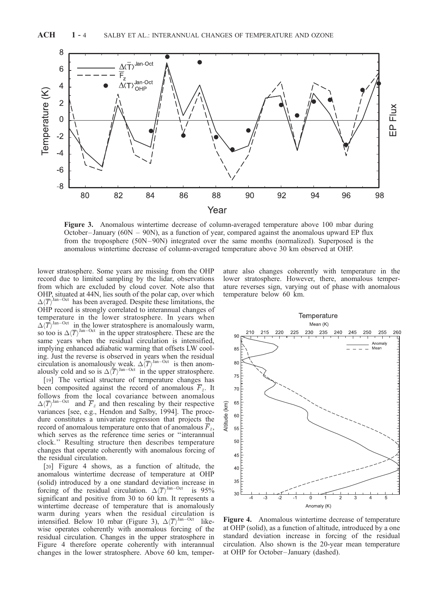

Figure 3. Anomalous wintertime decrease of column-averaged temperature above 100 mbar during October-January ( $60N - 90N$ ), as a function of year, compared against the anomalous upward EP flux from the troposphere (50N-90N) integrated over the same months (normalized). Superposed is the anomalous wintertime decrease of column-averaged temperature above 30 km observed at OHP.

lower stratosphere. Some years are missing from the OHP record due to limited sampling by the lidar, observations from which are excluded by cloud cover. Note also that OHP, situated at 44N, lies south of the polar cap, over which  $\Delta \langle \overline{T} \rangle^{\text{Jan-Oct}}$  has been averaged. Despite these limitations, the OHP record is strongly correlated to interannual changes of temperature in the lower stratosphere. In years when  $\Delta \langle \overline{T} \rangle^{\text{Jan-Oct}}$  in the lower stratosphere is anomalously warm, so too is  $\Delta \langle \overline{T} \rangle^{\text{Jan-Oct}}$  in the upper stratosphere. These are the same years when the residual circulation is intensified, implying enhanced adiabatic warming that offsets LW cooling. Just the reverse is observed in years when the residual circulation is anomalously weak.  $\Delta(\overline{T})^{\text{Jan-Oct}}$  is then anomalously cold and so is  $\Delta \langle \overline{T} \rangle^{\text{Jan-Oct}}$  in the upper stratosphere.

[19] The vertical structure of temperature changes has been composited against the record of anomalous  $\overline{F}_z$ . It follows from the local covariance between anomalous  $\Delta \langle \overline{T} \rangle^{\text{Jan-Oct}}$ and  $\overline{F}_z$  and then rescaling by their respective variances [see, e.g., Hendon and Salby, 1994]. The procedure constitutes a univariate regression that projects the record of anomalous temperature onto that of anomalous  $F_z$ , which serves as the reference time series or ''interannual clock.'' Resulting structure then describes temperature changes that operate coherently with anomalous forcing of the residual circulation.

[20] Figure 4 shows, as a function of altitude, the anomalous wintertime decrease of temperature at OHP (solid) introduced by a one standard deviation increase in forcing of the residual circulation.  $\Delta \langle \overline{T} \rangle^{\text{Jan-Oct}}$  is 95% significant and positive from 30 to 60 km. It represents a wintertime decrease of temperature that is anomalously warm during years when the residual circulation is intensified. Below 10 mbar (Figure 3),  $\Delta \langle \overline{T} \rangle^{\text{Jan-Oct}}$  likewise operates coherently with anomalous forcing of the residual circulation. Changes in the upper stratosphere in Figure 4 therefore operate coherently with interannual changes in the lower stratosphere. Above 60 km, temperature also changes coherently with temperature in the lower stratosphere. However, there, anomalous temperature reverses sign, varying out of phase with anomalous temperature below 60 km.



Figure 4. Anomalous wintertime decrease of temperature at OHP (solid), as a function of altitude, introduced by a one standard deviation increase in forcing of the residual circulation. Also shown is the 20-year mean temperature at OHP for October – January (dashed).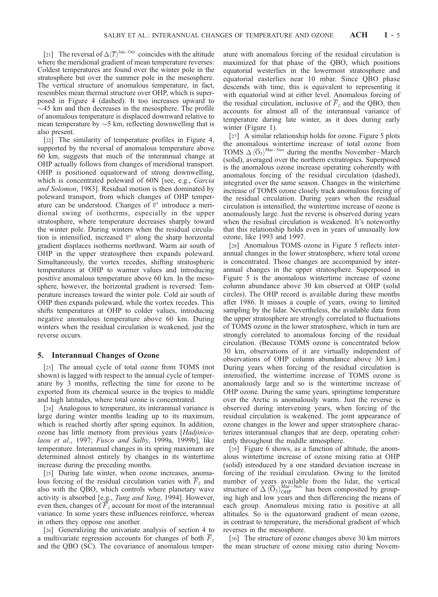[21] The reversal of  $\Delta \langle \overline{T} \rangle^{\text{Jan-Oct}}$  coincides with the altitude where the meridional gradient of mean temperature reverses: Coldest temperatures are found over the winter pole in the stratosphere but over the summer pole in the mesosphere. The vertical structure of anomalous temperature, in fact, resembles mean thermal structure over OHP, which is superposed in Figure 4 (dashed). It too increases upward to  $\sim$ 45 km and then decreases in the mesosphere. The profile of anomalous temperature is displaced downward relative to mean temperature by  $\sim$  5 km, reflecting downwelling that is also present.

[22] The similarity of temperature profiles in Figure 4, supported by the reversal of anomalous temperature above 60 km, suggests that much of the interannual change at OHP actually follows from changes of meridional transport. OHP is positioned equatorward of strong downwelling, which is concentrated poleward of 60N [see, e.g., *Garcia* and Solomon, 1983]. Residual motion is then dominated by poleward transport, from which changes of OHP temperature can be understood. Changes of  $\bar{v}^*$  introduce a meridional swing of isotherms, especially in the upper stratosphere, where temperature decreases sharply toward the winter pole. During winters when the residual circulation is intensified, increased  $\bar{v}^*$  along the sharp horizontal gradient displaces isotherms northward. Warm air south of OHP in the upper stratosphere then expands poleward. Simultaneously, the vortex recedes, shifting stratospheric temperatures at OHP to warmer values and introducing positive anomalous temperature above 60 km. In the mesosphere, however, the horizontal gradient is reversed: Temperature increases toward the winter pole. Cold air south of OHP then expands poleward, while the vortex recedes. This shifts temperatures at OHP to colder values, introducing negative anomalous temperature above 60 km. During winters when the residual circulation is weakened, just the reverse occurs.

#### 5. Interannual Changes of Ozone

[23] The annual cycle of total ozone from TOMS (not shown) is lagged with respect to the annual cycle of temperature by 3 months, reflecting the time for ozone to be exported from its chemical source in the tropics to middle and high latitudes, where total ozone is concentrated.

[24] Analogous to temperature, its interannual variance is large during winter months leading up to its maximum, which is reached shortly after spring equinox. In addition, ozone has little memory from previous years [Hadjinicolaou et al., 1997; Fusco and Salby, 1999a, 1999b], like temperature. Interannual changes in its spring maximum are determined almost entirely by changes in its wintertime increase during the preceding months.

[25] During late winter, when ozone increases, anomalous forcing of the residual circulation varies with  $\overline{F}_z$  and also with the QBO, which controls where planetary wave activity is absorbed [e.g., Tung and Yang, 1994]. However, even then, changes of  $\overline{F}_z$  account for most of the interannual variance. In some years these influences reinforce, whereas in others they oppose one another.

[26] Generalizing the univariate analysis of section 4 to a multivariate regression accounts for changes of both  $F<sub>z</sub>$ and the QBO (SC). The covariance of anomalous temperature with anomalous forcing of the residual circulation is maximized for that phase of the QBO, which positions equatorial westerlies in the lowermost stratosphere and equatorial easterlies near 10 mbar. Since QBO phase descends with time, this is equivalent to representing it with equatorial wind at either level. Anomalous forcing of the residual circulation, inclusive of  $\overline{F}_z$  and the QBO, then accounts for almost all of the interannual variance of temperature during late winter, as it does during early winter (Figure 1).

[27] A similar relationship holds for ozone. Figure 5 plots the anomalous wintertime increase of total ozone from TOMS  $\Delta \langle \overline{O}_3 \rangle^{\text{Mar-Nov}}$  during the months November–March (solid), averaged over the northern extratropics. Superposed is the anomalous ozone increase operating coherently with anomalous forcing of the residual circulation (dashed), integrated over the same season. Changes in the wintertime increase of TOMS ozone closely track anomalous forcing of the residual circulation. During years when the residual circulation is intensified, the wintertime increase of ozone is anomalously large. Just the reverse is observed during years when the residual circulation is weakened. It's noteworthy that this relationship holds even in years of unusually low ozone, like 1993 and 1997.

[28] Anomalous TOMS ozone in Figure 5 reflects interannual changes in the lower stratosphere, where total ozone is concentrated. Those changes are accompanied by interannual changes in the upper stratosphere. Superposed in Figure 5 is the anomalous wintertime increase of ozone column abundance above 30 km observed at OHP (solid circles). The OHP record is available during these months after 1986. It misses a couple of years, owing to limited sampling by the lidar. Nevertheless, the available data from the upper stratosphere are strongly correlated to fluctuations of TOMS ozone in the lower stratosphere, which in turn are strongly correlated to anomalous forcing of the residual circulation. (Because TOMS ozone is concentrated below 30 km, observations of it are virtually independent of observations of OHP column abundance above 30 km.) During years when forcing of the residual circulation is intensified, the wintertime increase of TOMS ozone is anomalously large and so is the wintertime increase of OHP ozone. During the same years, springtime temperature over the Arctic is anomalously warm. Just the reverse is observed during intervening years, when forcing of the residual circulation is weakened. The joint appearance of ozone changes in the lower and upper stratosphere characterizes interannual changes that are deep, operating coherently throughout the middle atmosphere.

[29] Figure 6 shows, as a function of altitude, the anomalous wintertime increase of ozone mixing ratio at OHP (solid) introduced by a one standard deviation increase in forcing of the residual circulation. Owing to the limited number of years available from the lidar, the vertical structure of  $\Delta \langle \overline{O}_3 \rangle_{\text{OHP}}^{\text{Mar-Nov}}$  has been composited by grouping high and low years and then differencing the means of each group. Anomalous mixing ratio is positive at all altitudes. So is the equatorward gradient of mean ozone, in contrast to temperature, the meridional gradient of which reverses in the mesosphere.

[30] The structure of ozone changes above 30 km mirrors the mean structure of ozone mixing ratio during Novem-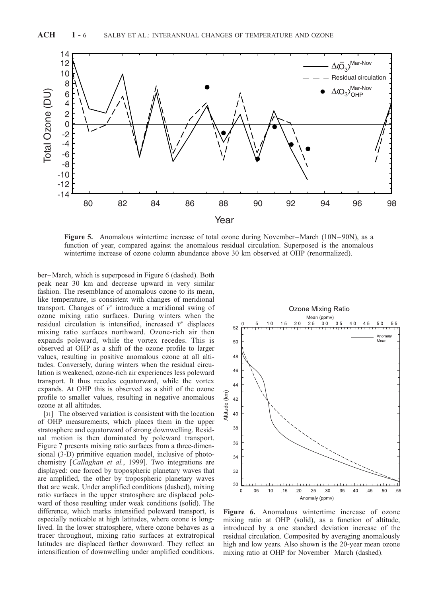

**Figure 5.** Anomalous wintertime increase of total ozone during November-March ( $10N-90N$ ), as a function of year, compared against the anomalous residual circulation. Superposed is the anomalous wintertime increase of ozone column abundance above 30 km observed at OHP (renormalized).

ber –March, which is superposed in Figure 6 (dashed). Both peak near 30 km and decrease upward in very similar fashion. The resemblance of anomalous ozone to its mean, like temperature, is consistent with changes of meridional transport. Changes of  $\bar{v}^*$  introduce a meridional swing of ozone mixing ratio surfaces. During winters when the residual circulation is intensified, increased  $\bar{v}^*$  displaces mixing ratio surfaces northward. Ozone-rich air then expands poleward, while the vortex recedes. This is observed at OHP as a shift of the ozone profile to larger values, resulting in positive anomalous ozone at all altitudes. Conversely, during winters when the residual circulation is weakened, ozone-rich air experiences less poleward transport. It thus recedes equatorward, while the vortex expands. At OHP this is observed as a shift of the ozone profile to smaller values, resulting in negative anomalous ozone at all altitudes.

[31] The observed variation is consistent with the location of OHP measurements, which places them in the upper stratosphere and equatorward of strong downwelling. Residual motion is then dominated by poleward transport. Figure 7 presents mixing ratio surfaces from a three-dimensional (3-D) primitive equation model, inclusive of photochemistry [Callaghan et al., 1999]. Two integrations are displayed: one forced by tropospheric planetary waves that are amplified, the other by tropospheric planetary waves that are weak. Under amplified conditions (dashed), mixing ratio surfaces in the upper stratosphere are displaced poleward of those resulting under weak conditions (solid). The difference, which marks intensified poleward transport, is especially noticable at high latitudes, where ozone is longlived. In the lower stratosphere, where ozone behaves as a tracer throughout, mixing ratio surfaces at extratropical latitudes are displaced farther downward. They reflect an intensification of downwelling under amplified conditions.



Figure 6. Anomalous wintertime increase of ozone mixing ratio at OHP (solid), as a function of altitude, introduced by a one standard deviation increase of the residual circulation. Composited by averaging anomalously high and low years. Also shown is the 20-year mean ozone mixing ratio at OHP for November –March (dashed).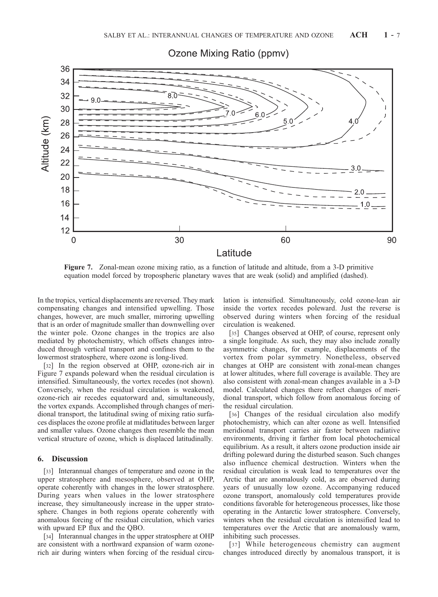

Ozone Mixing Ratio (ppmv)

Figure 7. Zonal-mean ozone mixing ratio, as a function of latitude and altitude, from a 3-D primitive equation model forced by tropospheric planetary waves that are weak (solid) and amplified (dashed).

In the tropics, vertical displacements are reversed. They mark compensating changes and intensified upwelling. Those changes, however, are much smaller, mirroring upwelling that is an order of magnitude smaller than downwelling over the winter pole. Ozone changes in the tropics are also mediated by photochemistry, which offsets changes introduced through vertical transport and confines them to the lowermost stratosphere, where ozone is long-lived.

[32] In the region observed at OHP, ozone-rich air in Figure 7 expands poleward when the residual circulation is intensified. Simultaneously, the vortex recedes (not shown). Conversely, when the residual circulation is weakened, ozone-rich air recedes equatorward and, simultaneously, the vortex expands. Accomplished through changes of meridional transport, the latitudinal swing of mixing ratio surfaces displaces the ozone profile at midlatitudes between larger and smaller values. Ozone changes then resemble the mean vertical structure of ozone, which is displaced latitudinally.

#### 6. Discussion

[33] Interannual changes of temperature and ozone in the upper stratosphere and mesosphere, observed at OHP, operate coherently with changes in the lower stratosphere. During years when values in the lower stratosphere increase, they simultaneously increase in the upper stratosphere. Changes in both regions operate coherently with anomalous forcing of the residual circulation, which varies with upward EP flux and the QBO.

[34] Interannual changes in the upper stratosphere at OHP are consistent with a northward expansion of warm ozonerich air during winters when forcing of the residual circulation is intensified. Simultaneously, cold ozone-lean air inside the vortex recedes poleward. Just the reverse is observed during winters when forcing of the residual circulation is weakened.

[35] Changes observed at OHP, of course, represent only a single longitude. As such, they may also include zonally asymmetric changes, for example, displacements of the vortex from polar symmetry. Nonetheless, observed changes at OHP are consistent with zonal-mean changes at lower altitudes, where full coverage is available. They are also consistent with zonal-mean changes available in a 3-D model. Calculated changes there reflect changes of meridional transport, which follow from anomalous forcing of the residual circulation.

[36] Changes of the residual circulation also modify photochemistry, which can alter ozone as well. Intensified meridional transport carries air faster between radiative environments, driving it farther from local photochemical equilibrium. As a result, it alters ozone production inside air drifting poleward during the disturbed season. Such changes also influence chemical destruction. Winters when the residual circulation is weak lead to temperatures over the Arctic that are anomalously cold, as are observed during years of unusually low ozone. Accompanying reduced ozone transport, anomalously cold temperatures provide conditions favorable for heterogeneous processes, like those operating in the Antarctic lower stratosphere. Conversely, winters when the residual circulation is intensified lead to temperatures over the Arctic that are anomalously warm, inhibiting such processes.

[37] While heterogeneous chemistry can augment changes introduced directly by anomalous transport, it is